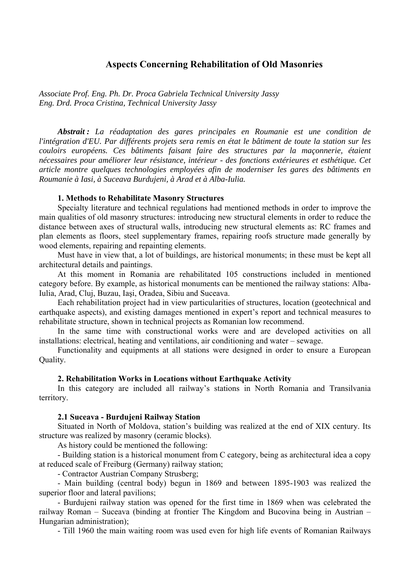## **Aspects Concerning Rehabilitation of Old Masonries**

*Associate Prof. Eng. Ph. Dr. Proca Gabriela Technical University Jassy Eng. Drd. Proca Cristina, Technical University Jassy* 

*Abstrait : La réadaptation des gares principales en Roumanie est une condition de l'intégration d'EU. Par différents projets sera remis en état le bâtiment de toute la station sur les couloirs européens. Ces bâtiments faisant faire des structures par la maçonnerie, étaient nécessaires pour améliorer leur résistance, intérieur - des fonctions extérieures et esthétique. Cet article montre quelques technologies employées afin de moderniser les gares des bâtiments en Roumanie à Iasi, à Suceava Burdujeni, à Arad et à Alba-Iulia.* 

#### **1. Methods to Rehabilitate Masonry Structures**

Specialty literature and technical regulations had mentioned methods in order to improve the main qualities of old masonry structures: introducing new structural elements in order to reduce the distance between axes of structural walls, introducing new structural elements as: RC frames and plan elements as floors, steel supplementary frames, repairing roofs structure made generally by wood elements, repairing and repainting elements.

Must have in view that, a lot of buildings, are historical monuments; in these must be kept all architectural details and paintings.

At this moment in Romania are rehabilitated 105 constructions included in mentioned category before. By example, as historical monuments can be mentioned the railway stations: Alba-Iulia, Arad, Cluj, Buzau, Iaşi, Oradea, Sibiu and Suceava.

Each rehabilitation project had in view particularities of structures, location (geotechnical and earthquake aspects), and existing damages mentioned in expert's report and technical measures to rehabilitate structure, shown in technical projects as Romanian low recommend.

In the same time with constructional works were and are developed activities on all installations: electrical, heating and ventilations, air conditioning and water – sewage.

Functionality and equipments at all stations were designed in order to ensure a European Quality.

#### **2. Rehabilitation Works in Locations without Earthquake Activity**

In this category are included all railway's stations in North Romania and Transilvania territory.

#### **2.1 Suceava - Burdujeni Railway Station**

Situated in North of Moldova, station's building was realized at the end of XIX century. Its structure was realized by masonry (ceramic blocks).

As history could be mentioned the following:

- Building station is a historical monument from C category, being as architectural idea a copy at reduced scale of Freiburg (Germany) railway station;

- Contractor Austrian Company Strusberg;

- Main building (central body) begun in 1869 and between 1895-1903 was realized the superior floor and lateral pavilions;

- Burdujeni railway station was opened for the first time in 1869 when was celebrated the railway Roman – Suceava (binding at frontier The Kingdom and Bucovina being in Austrian – Hungarian administration);

- Till 1960 the main waiting room was used even for high life events of Romanian Railways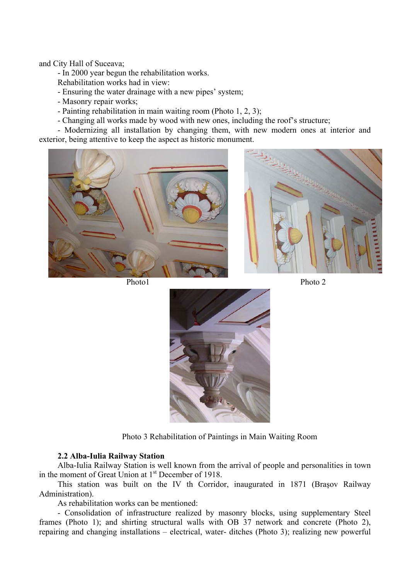and City Hall of Suceava;

- In 2000 year begun the rehabilitation works.

- Rehabilitation works had in view:
- Ensuring the water drainage with a new pipes' system;
- Masonry repair works;
- Painting rehabilitation in main waiting room (Photo 1, 2, 3);
- Changing all works made by wood with new ones, including the roof's structure;

- Modernizing all installation by changing them, with new modern ones at interior and exterior, being attentive to keep the aspect as historic monument.









Photo 3 Rehabilitation of Paintings in Main Waiting Room

### **2.2 Alba-Iulia Railway Station**

Alba-Iulia Railway Station is well known from the arrival of people and personalities in town in the moment of Great Union at 1<sup>st</sup> December of 1918.

This station was built on the IV th Corridor, inaugurated in 1871 (Braşov Railway Administration).

As rehabilitation works can be mentioned:

- Consolidation of infrastructure realized by masonry blocks, using supplementary Steel frames (Photo 1); and shirting structural walls with OB 37 network and concrete (Photo 2), repairing and changing installations – electrical, water- ditches (Photo 3); realizing new powerful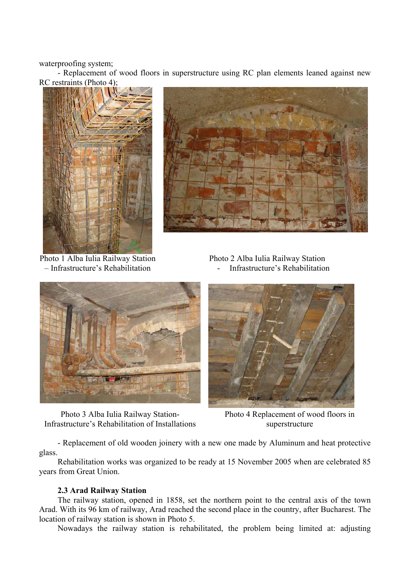waterproofing system;

- Replacement of wood floors in superstructure using RC plan elements leaned against new RC restraints (Photo 4);





Photo 1 Alba Iulia Railway Station – Infrastructure's Rehabilitation

Photo 2 Alba Iulia Railway Station - Infrastructure's Rehabilitation



Photo 3 Alba Iulia Railway Station-Infrastructure's Rehabilitation of Installations



Photo 4 Replacement of wood floors in superstructure

- Replacement of old wooden joinery with a new one made by Aluminum and heat protective glass.

Rehabilitation works was organized to be ready at 15 November 2005 when are celebrated 85 years from Great Union.

#### **2.3 Arad Railway Station**

The railway station, opened in 1858, set the northern point to the central axis of the town Arad. With its 96 km of railway, Arad reached the second place in the country, after Bucharest. The location of railway station is shown in Photo 5.

Nowadays the railway station is rehabilitated, the problem being limited at: adjusting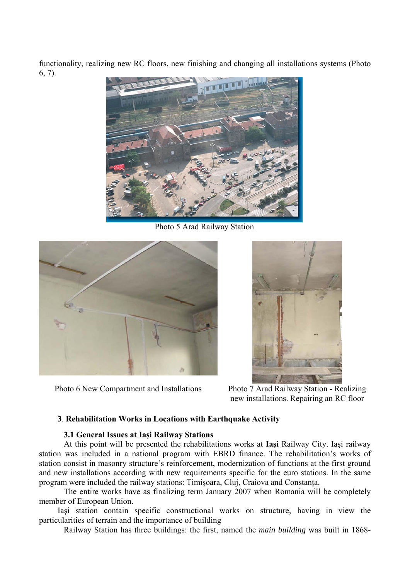functionality, realizing new RC floors, new finishing and changing all installations systems (Photo 6, 7).



Photo 5 Arad Railway Station



Photo 6 New Compartment and Installations Photo 7 Arad Railway Station - Realizing

new installations. Repairing an RC floor

## **3**. **Rehabilitation Works in Locations with Earthquake Activity**

### **3.1 General Issues at Iaşi Railway Stations**

At this point will be presented the rehabilitations works at **Iaşi** Railway City. Iaşi railway station was included in a national program with EBRD finance. The rehabilitation's works of station consist in masonry structure's reinforcement, modernization of functions at the first ground and new installations according with new requirements specific for the euro stations. In the same program were included the railway stations: Timişoara, Cluj, Craiova and Constanţa.

The entire works have as finalizing term January 2007 when Romania will be completely member of European Union.

Iaşi station contain specific constructional works on structure, having in view the particularities of terrain and the importance of building

Railway Station has three buildings: the first, named the *main building* was built in 1868-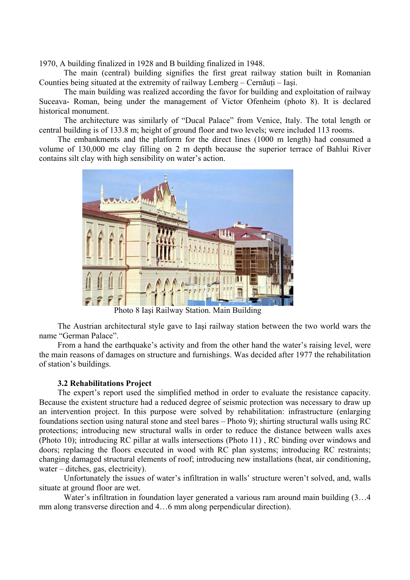1970, A building finalized in 1928 and B building finalized in 1948.

The main (central) building signifies the first great railway station built in Romanian Counties being situated at the extremity of railway Lemberg – Cernăuti – Iasi.

The main building was realized according the favor for building and exploitation of railway Suceava- Roman, being under the management of Victor Ofenheim (photo 8). It is declared historical monument.

The architecture was similarly of "Ducal Palace" from Venice, Italy. The total length or central building is of 133.8 m; height of ground floor and two levels; were included 113 rooms.

The embankments and the platform for the direct lines (1000 m length) had consumed a volume of 130,000 mc clay filling on 2 m depth because the superior terrace of Bahlui River contains silt clay with high sensibility on water's action.



Photo 8 Iaşi Railway Station. Main Building

The Austrian architectural style gave to Iaşi railway station between the two world wars the name "German Palace".

From a hand the earthquake's activity and from the other hand the water's raising level, were the main reasons of damages on structure and furnishings. Was decided after 1977 the rehabilitation of station's buildings.

### **3.2 Rehabilitations Project**

The expert's report used the simplified method in order to evaluate the resistance capacity. Because the existent structure had a reduced degree of seismic protection was necessary to draw up an intervention project. In this purpose were solved by rehabilitation: infrastructure (enlarging foundations section using natural stone and steel bares – Photo 9); shirting structural walls using RC protections; introducing new structural walls in order to reduce the distance between walls axes (Photo 10); introducing RC pillar at walls intersections (Photo 11) , RC binding over windows and doors; replacing the floors executed in wood with RC plan systems; introducing RC restraints; changing damaged structural elements of roof; introducing new installations (heat, air conditioning, water – ditches, gas, electricity).

Unfortunately the issues of water's infiltration in walls' structure weren't solved, and, walls situate at ground floor are wet.

Water's infiltration in foundation layer generated a various ram around main building  $(3...4)$ mm along transverse direction and 4…6 mm along perpendicular direction).